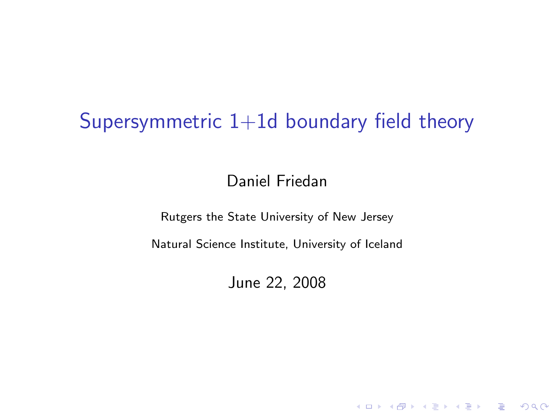# Supersymmetric  $1+1d$  boundary field theory

Daniel Friedan

Rutgers the State University of New Jersey

Natural Science Institute, University of Iceland

June 22, 2008

**K ロ ▶ K @ ▶ K 할 X X 할 X 및 할 X X Q Q O**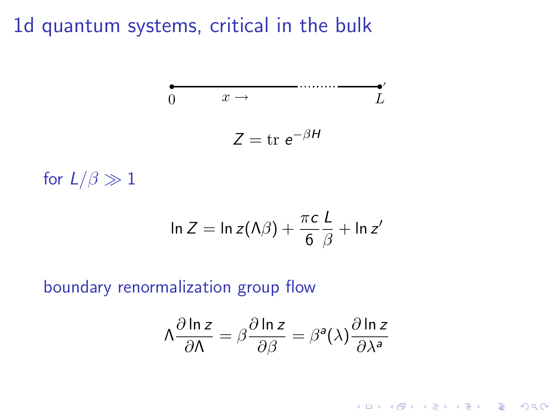1d quantum systems, critical in the bulk

$$
0 \t x \rightarrow
$$
  
\n
$$
Z = \text{tr } e^{-\beta H}
$$

for  $L/\beta \gg 1$ 

$$
\ln Z = \ln z(\Lambda \beta) + \frac{\pi c}{6} \frac{L}{\beta} + \ln z'
$$

boundary renormalization group flow

$$
\Lambda \frac{\partial \ln z}{\partial \Lambda} = \beta \frac{\partial \ln z}{\partial \beta} = \beta^a(\lambda) \frac{\partial \ln z}{\partial \lambda^a}
$$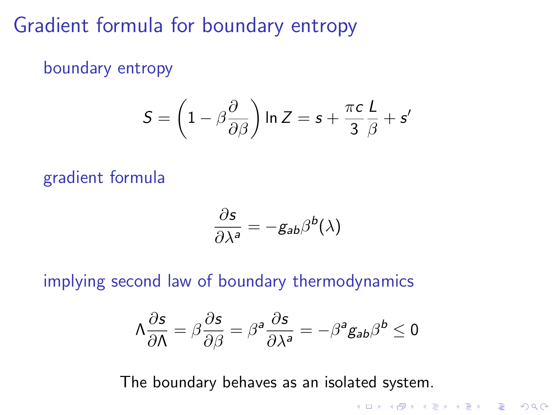## Gradient formula for boundary entropy

boundary entropy

$$
S = \left(1 - \beta \frac{\partial}{\partial \beta}\right) \ln Z = s + \frac{\pi c}{3} \frac{L}{\beta} + s'
$$

gradient formula

$$
\frac{\partial s}{\partial \lambda^a} = -g_{ab}\beta^b(\lambda)
$$

implying second law of boundary thermodynamics

$$
\Lambda \frac{\partial s}{\partial \Lambda} = \beta \frac{\partial s}{\partial \beta} = \beta^a \frac{\partial s}{\partial \lambda^a} = -\beta^a g_{ab} \beta^b \le 0
$$

The boundary behaves as an isolated system.

**K ロ ▶ K @ ▶ K 할 X X 할 X 및 할 X X Q Q O**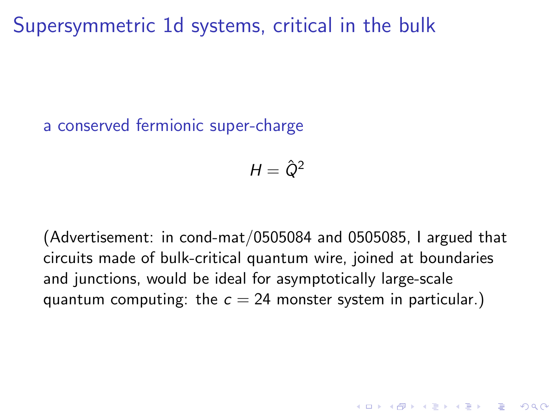Supersymmetric 1d systems, critical in the bulk

a conserved fermionic super-charge

$$
H=\hat{Q}^2
$$

(Advertisement: in cond-mat/0505084 and 0505085, I argued that circuits made of bulk-critical quantum wire, joined at boundaries and junctions, would be ideal for asymptotically large-scale quantum computing: the  $c = 24$  monster system in particular.)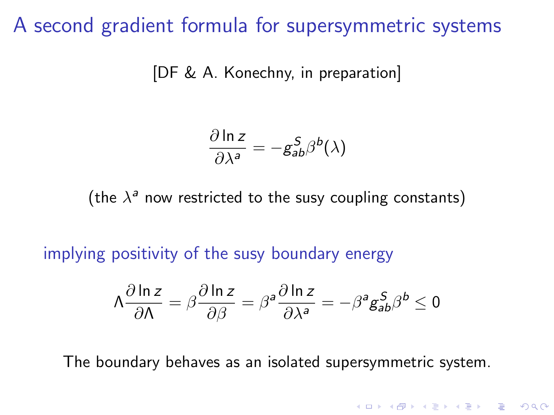### A second gradient formula for supersymmetric systems

[DF & A. Konechny, in preparation]

$$
\frac{\partial \ln z}{\partial \lambda^a} = -g_{ab}^S \beta^b(\lambda)
$$

(the  $\lambda^a$  now restricted to the susy coupling constants)

implying positivity of the susy boundary energy

$$
\Lambda \frac{\partial \ln z}{\partial \Lambda} = \beta \frac{\partial \ln z}{\partial \beta} = \beta^a \frac{\partial \ln z}{\partial \lambda^a} = -\beta^a g_{ab}^S \beta^b \le 0
$$

The boundary behaves as an isolated supersymmetric system.

**K ロ ▶ K @ ▶ K 할 X X 할 X 및 할 X X Q Q O**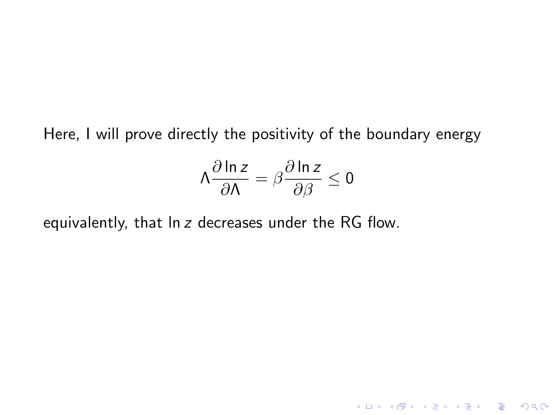Here, I will prove directly the positivity of the boundary energy

$$
\Lambda \frac{\partial \ln z}{\partial \Lambda} = \beta \frac{\partial \ln z}{\partial \beta} \le 0
$$

K ロ K K (P) K (E) K (E) X (E) X (P) K (P)

equivalently, that ln z decreases under the RG flow.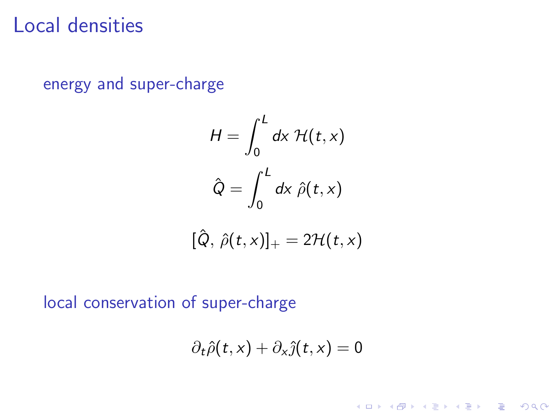## Local densities

energy and super-charge

$$
H = \int_0^L dx \mathcal{H}(t, x)
$$

$$
\hat{Q} = \int_0^L dx \hat{\rho}(t, x)
$$

$$
[\hat{Q}, \hat{\rho}(t,x)]_+ = 2\mathcal{H}(t,x)
$$

local conservation of super-charge

$$
\partial_t \hat{\rho}(t,x) + \partial_x \hat{\jmath}(t,x) = 0
$$

イロト イ御 トイミト イミト ニミー りんぴ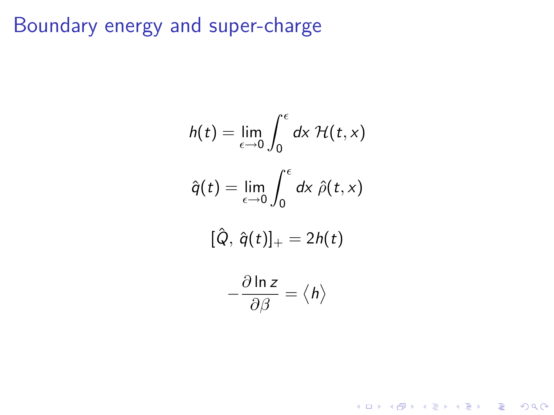# Boundary energy and super-charge

$$
h(t) = \lim_{\epsilon \to 0} \int_0^{\epsilon} dx \mathcal{H}(t, x)
$$

$$
\hat{q}(t) = \lim_{\epsilon \to 0} \int_0^{\epsilon} dx \hat{\rho}(t, x)
$$

$$
[\hat{Q}, \hat{q}(t)]_+ = 2h(t)
$$

$$
-\frac{\partial \ln z}{\partial \beta} = \langle h \rangle
$$

K ロ ▶ K @ ▶ K 할 ▶ K 할 ▶ ... 할 ... 900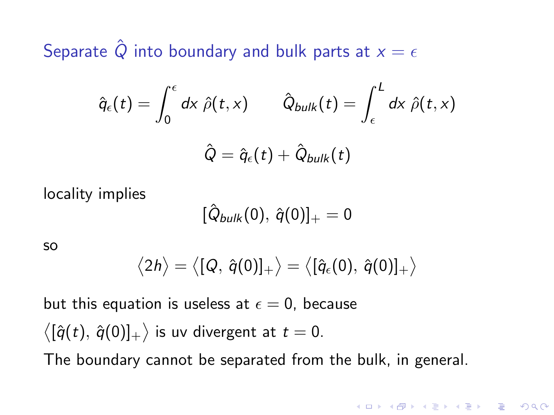Separate  $\hat{Q}$  into boundary and bulk parts at  $x = \epsilon$ 

$$
\hat{q}_{\epsilon}(t) = \int_0^{\epsilon} d\mathsf{x} \; \hat{\rho}(t,\mathsf{x}) \qquad \hat{Q}_{bulk}(t) = \int_{\epsilon}^{L} d\mathsf{x} \; \hat{\rho}(t,\mathsf{x})
$$

$$
\hat{Q} = \hat{q}_{\epsilon}(t) + \hat{Q}_{bulk}(t)
$$

locality implies

$$
[\hat{Q}_{bulk}(0),\,\hat{q}(0)]_+=0
$$

so

$$
\big\langle 2h\big\rangle = \big\langle [Q,\,\hat{q}(0)]_+\big\rangle = \big\langle [\hat{q}_\epsilon(0),\,\hat{q}(0)]_+\big\rangle
$$

4 D > 4 P + 4 B + 4 B + B + 9 Q O

but this equation is useless at  $\epsilon = 0$ , because  $\big\langle [\hat{q}(t),\,\hat{q}(0)]_+ \big\rangle$  is uv divergent at  $t=0.$ The boundary cannot be separated from the bulk, in general.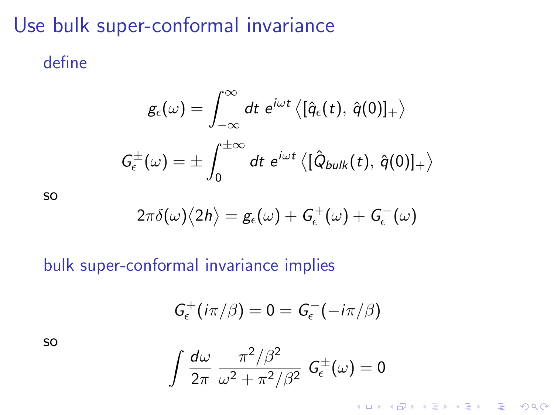# Use bulk super-conformal invariance

### define

$$
\begin{aligned} g_\epsilon(\omega) &= \int_{-\infty}^\infty dt \,\, e^{i\omega t} \left\langle [\hat{q}_\epsilon(t),\, \hat{q}(0)]_+ \right\rangle \\ G_\epsilon^\pm(\omega) &= \pm \int_0^{\pm\infty} dt \,\, e^{i\omega t} \left\langle [\hat{Q}_{bulk}(t),\, \hat{q}(0)]_+ \right\rangle \end{aligned}
$$

so

$$
2\pi\delta(\omega)\big<2h\big>=g_\epsilon(\omega)+G_\epsilon^+(\omega)+G_\epsilon^-(\omega)
$$

### bulk super-conformal invariance implies

$$
G_{\epsilon}^+(i\pi/\beta)=0=G_{\epsilon}^-(-i\pi/\beta)
$$

so

$$
\int \frac{d\omega}{2\pi} \frac{\pi^2/\beta^2}{\omega^2 + \pi^2/\beta^2} G_{\epsilon}^{\pm}(\omega) = 0
$$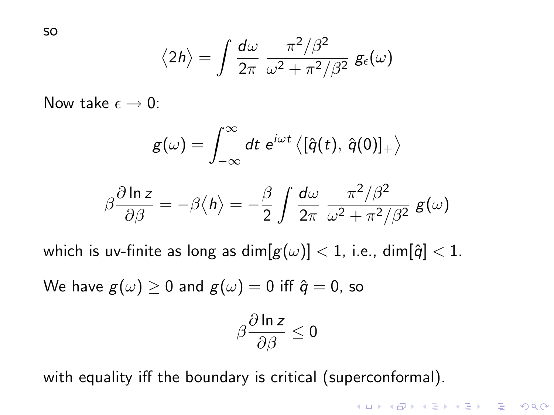so

$$
\langle 2h \rangle = \int \frac{d\omega}{2\pi} \frac{\pi^2/\beta^2}{\omega^2 + \pi^2/\beta^2} g_{\epsilon}(\omega)
$$

Now take  $\epsilon \to 0$ :

$$
g(\omega)=\int_{-\infty}^{\infty}dt\; e^{i\omega t}\left\langle [\hat{q}(t),\,\hat{q}(0)]_+\right\rangle
$$

$$
\beta \frac{\partial \ln z}{\partial \beta} = -\beta \langle h \rangle = -\frac{\beta}{2} \int \frac{d\omega}{2\pi} \frac{\pi^2/\beta^2}{\omega^2 + \pi^2/\beta^2} g(\omega)
$$

which is uv-finite as long as  $\dim[g(\omega)] < 1$ , i.e.,  $\dim[\hat{q}] < 1$ .

We have  $g(\omega) \ge 0$  and  $g(\omega) = 0$  iff  $\hat{q} = 0$ , so

$$
\beta \frac{\partial \ln z}{\partial \beta} \leq 0
$$

**KORK ERKER ADE YOUR** 

with equality iff the boundary is critical (superconformal).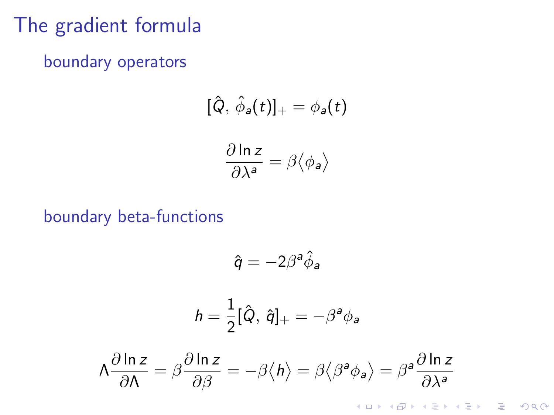# The gradient formula

boundary operators

$$
[\hat{Q}, \hat{\phi}_a(t)]_+ = \phi_a(t)
$$

$$
\frac{\partial \ln z}{\partial \lambda^a} = \beta \langle \phi_a \rangle
$$

boundary beta-functions

$$
\hat{q} = -2\beta^a \hat{\phi}_a
$$
\n
$$
h = \frac{1}{2} [\hat{Q}, \hat{q}]_+ = -\beta^a \phi_a
$$
\n
$$
\Lambda \frac{\partial \ln z}{\partial \Lambda} = \beta \frac{\partial \ln z}{\partial \beta} = -\beta \langle h \rangle = \beta \langle \beta^a \phi_a \rangle = \beta^a \frac{\partial \ln z}{\partial \lambda^a}
$$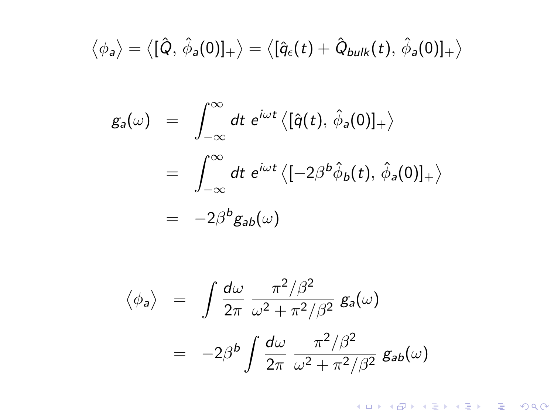$$
\big\langle \phi_{\mathsf{a}} \big\rangle = \big\langle [\hat{\mathsf{Q}}, \, \hat{\phi}_{\mathsf{a}}(0)]_+ \big\rangle = \big\langle [\hat{q}_{\epsilon}(t) + \hat{\mathsf{Q}}_{\mathsf{bulk}}(t), \, \hat{\phi}_{\mathsf{a}}(0)]_+ \big\rangle
$$

$$
g_a(\omega) = \int_{-\infty}^{\infty} dt \ e^{i\omega t} \langle [\hat{q}(t), \hat{\phi}_a(0)]_+ \rangle
$$
  
= 
$$
\int_{-\infty}^{\infty} dt \ e^{i\omega t} \langle [-2\beta^b \hat{\phi}_b(t), \hat{\phi}_a(0)]_+ \rangle
$$
  
= 
$$
-2\beta^b g_{ab}(\omega)
$$

$$
\langle \phi_a \rangle = \int \frac{d\omega}{2\pi} \frac{\pi^2/\beta^2}{\omega^2 + \pi^2/\beta^2} g_a(\omega)
$$

$$
= -2\beta^b \int \frac{d\omega}{2\pi} \frac{\pi^2/\beta^2}{\omega^2 + \pi^2/\beta^2} g_{ab}(\omega)
$$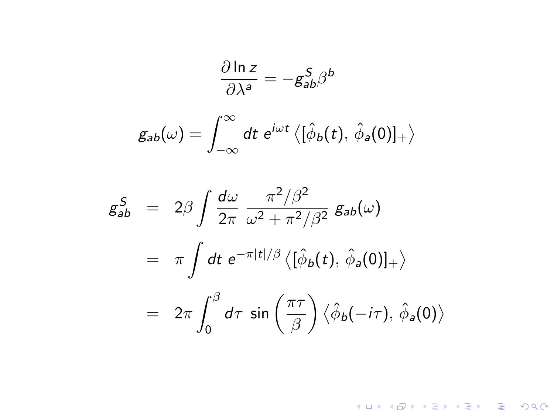$$
\frac{\partial \ln z}{\partial \lambda^a} = -g_{ab}^S \beta^b
$$

$$
g_{ab}(\omega) = \int_{-\infty}^{\infty} dt \ e^{i\omega t} \langle [\hat{\phi}_b(t), \hat{\phi}_a(0)]_+ \rangle
$$

$$
g_{ab}^S = 2\beta \int \frac{d\omega}{2\pi} \frac{\pi^2/\beta^2}{\omega^2 + \pi^2/\beta^2} g_{ab}(\omega)
$$
  
=  $\pi \int dt \ e^{-\pi|t|/\beta} \langle [\hat{\phi}_b(t), \hat{\phi}_a(0)]_+ \rangle$   
=  $2\pi \int_0^\beta d\tau \sin\left(\frac{\pi\tau}{\beta}\right) \langle \hat{\phi}_b(-i\tau), \hat{\phi}_a(0) \rangle$ 

イロトメタトメミトメミト (ミ) の女々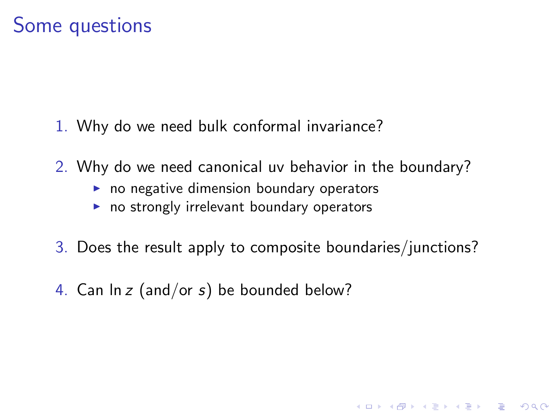### Some questions

- 1. Why do we need bulk conformal invariance?
- 2. Why do we need canonical uv behavior in the boundary?
	- $\triangleright$  no negative dimension boundary operators
	- $\triangleright$  no strongly irrelevant boundary operators
- 3. Does the result apply to composite boundaries/junctions?

4 D > 4 P + 4 B + 4 B + B + 9 Q O

4. Can  $\ln z$  (and/or s) be bounded below?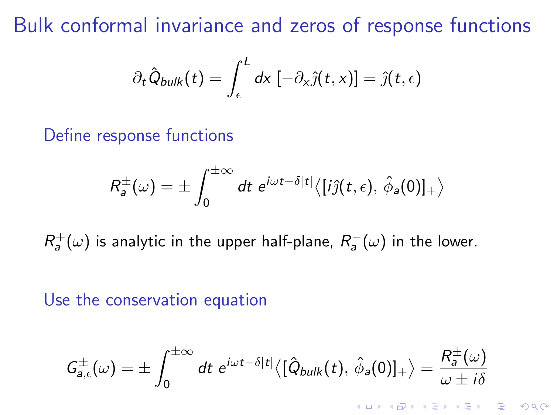Bulk conformal invariance and zeros of response functions

$$
\partial_t \hat{Q}_{bulk}(t) = \int_{\epsilon}^{L} dx \, [-\partial_x \hat{j}(t,x)] = \hat{j}(t,\epsilon)
$$

#### Define response functions

$$
R_a^{\pm}(\omega) = \pm \int_0^{\pm \infty} dt \ e^{i\omega t - \delta|t|} \langle [i\hat{\jmath}(t,\epsilon), \hat{\phi}_a(0)]_+ \rangle
$$

 $R^+_a(\omega)$  is analytic in the upper half-plane,  $R^-_a(\omega)$  in the lower.

#### Use the conservation equation

$$
G_{a,\epsilon}^{\pm}(\omega)=\pm\int_0^{\pm\infty}dt\,\,e^{i\omega t-\delta|t|}\big\langle[\hat{Q}_{bulk}(t),\,\hat{\phi}_a(0)]_+\big\rangle=\frac{R_a^{\pm}(\omega)}{\omega\pm i\delta}
$$

K ロ ▶ K @ ▶ K 할 ▶ K 할 ▶ 이 할 → 9 Q @